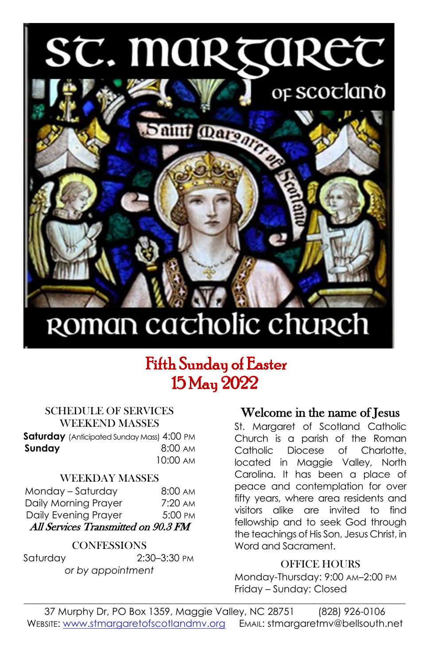# ST. MARTARET



## ROMAN cacholic church

### Fifth Sunday of Easter 15 May 2022

#### SCHEDULE OF SERVICES WEEKEND MASSES

**Saturday** (Anticipated Sunday Mass) 4:00 PM **Sunday 8:00 AM** 10:00 AM

#### WEEKDAY MASSES

| Monday - Saturday                   | $8:00 \text{ AM}$ |  |  |  |  |
|-------------------------------------|-------------------|--|--|--|--|
| Daily Morning Prayer                | $7:20 \text{ AM}$ |  |  |  |  |
| Daily Evening Prayer                | 5:00 PM           |  |  |  |  |
| All Services Transmitted on 90.3 FM |                   |  |  |  |  |

#### **CONFESSIONS**

Saturday 2:30–3:30 PM *or by appointment*

#### Welcome in the name of Jesus

St. Margaret of Scotland Catholic Church is a parish of the Roman Catholic Diocese of Charlotte, located in Maggie Valley, North Carolina. It has been a place of peace and contemplation for over fifty years, where area residents and visitors alike are invited to find fellowship and to seek God through the teachings of His Son, Jesus Christ, in Word and Sacrament.

#### OFFICE HOURS

Monday-Thursday: 9:00 AM–2:00 PM Friday – Sunday: Closed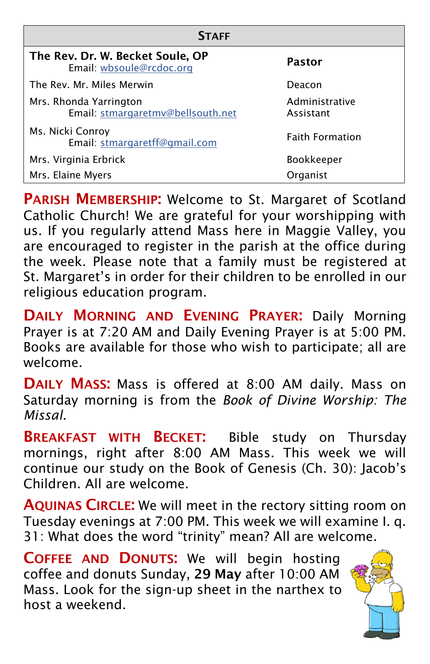| <b>STAFF</b>                                                 |                             |  |  |  |  |
|--------------------------------------------------------------|-----------------------------|--|--|--|--|
| The Rev. Dr. W. Becket Soule, OP<br>Email: wbsoule@rcdoc.org | <b>Pastor</b>               |  |  |  |  |
| The Rev. Mr. Miles Merwin                                    | Deacon                      |  |  |  |  |
| Mrs. Rhonda Yarrington<br>Email: stmargaretmv@bellsouth.net  | Administrative<br>Assistant |  |  |  |  |
| Ms. Nicki Conroy<br>Email: stmargaretff@gmail.com            | <b>Faith Formation</b>      |  |  |  |  |
| Mrs. Virginia Erbrick                                        | <b>Bookkeeper</b>           |  |  |  |  |
| Mrs. Elaine Myers                                            | Organist                    |  |  |  |  |

PARISH MEMBERSHIP: Welcome to St. Margaret of Scotland Catholic Church! We are grateful for your worshipping with us. If you regularly attend Mass here in Maggie Valley, you are encouraged to register in the parish at the office during the week. Please note that a family must be registered at St. Margaret's in order for their children to be enrolled in our religious education program.

DAILY MORNING AND EVENING PRAYER: Daily Morning Prayer is at 7:20 AM and Daily Evening Prayer is at 5:00 PM. Books are available for those who wish to participate; all are welcome.

DAILY MASS: Mass is offered at 8:00 AM daily. Mass on Saturday morning is from the *Book of Divine Worship: The Missal.* 

**BREAKFAST WITH BECKET:** Bible study on Thursday mornings, right after 8:00 AM Mass. This week we will continue our study on the Book of Genesis (Ch. 30): Jacob's Children. All are welcome.

AQUINAS CIRCLE: We will meet in the rectory sitting room on Tuesday evenings at 7:00 PM. This week we will examine I. q. 31: What does the word "trinity" mean? All are welcome.

COFFEE AND DONUTS: We will begin hosting coffee and donuts Sunday, 29 May after 10:00 AM Mass. Look for the sign-up sheet in the narthex to host a weekend.

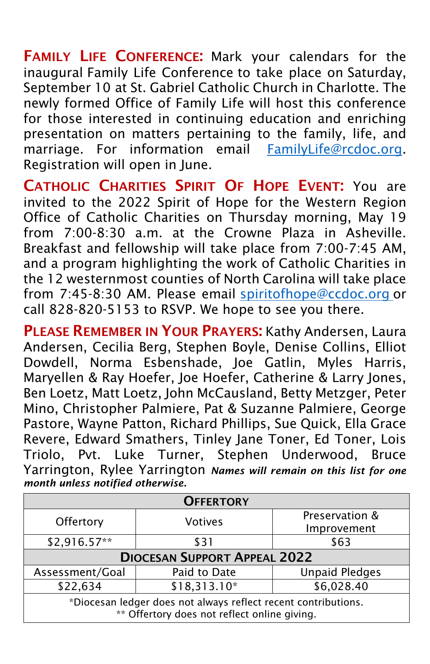FAMILY LIFE CONFERENCE: Mark your calendars for the inaugural Family Life Conference to take place on Saturday, September 10 at St. Gabriel Catholic Church in Charlotte. The newly formed Office of Family Life will host this conference for those interested in continuing education and enriching presentation on matters pertaining to the family, life, and marriage. For information email [FamilyLife@rcdoc.org.](FamilyLife@rcdoc.org) Registration will open in June.

CATHOLIC CHARITIES SPIRIT OF HOPE EVENT: You are invited to the 2022 Spirit of Hope for the Western Region Office of Catholic Charities on Thursday morning, May 19 from 7:00-8:30 a.m. at the Crowne Plaza in Asheville. Breakfast and fellowship will take place from 7:00-7:45 AM, and a program highlighting the work of Catholic Charities in the 12 westernmost counties of North Carolina will take place from 7:45-8:30 AM. Please email [spiritofhope@ccdoc.org](file:///C:/Users/Owner/Desktop/Favorites/spiritofhope@ccdoc.org ) or call 828-820-5153 to RSVP. We hope to see you there.

PLEASE REMEMBER IN YOUR PRAYERS: Kathy Andersen, Laura Andersen, Cecilia Berg, Stephen Boyle, Denise Collins, Elliot Dowdell, Norma Esbenshade, Joe Gatlin, Myles Harris, Maryellen & Ray Hoefer, Joe Hoefer, Catherine & Larry Jones, Ben Loetz, Matt Loetz, John McCausland, Betty Metzger, Peter Mino, Christopher Palmiere, Pat & Suzanne Palmiere, George Pastore, Wayne Patton, Richard Phillips, Sue Quick, Ella Grace Revere, Edward Smathers, Tinley Jane Toner, Ed Toner, Lois Triolo, Pvt. Luke Turner, Stephen Underwood, Bruce Yarrington, Rylee Yarrington *Names will remain on this list for one month unless notified otherwise.*

| <b>OFFERTORY</b>                                               |                |                               |  |  |  |
|----------------------------------------------------------------|----------------|-------------------------------|--|--|--|
| Offertory                                                      | <b>Votives</b> | Preservation &<br>Improvement |  |  |  |
| $$2,916.57**$                                                  | \$31           | \$63                          |  |  |  |
| <b>DIOCESAN SUPPORT APPEAL 2022</b>                            |                |                               |  |  |  |
| Assessment/Goal                                                | Paid to Date   | <b>Unpaid Pledges</b>         |  |  |  |
| \$22,634                                                       | \$18,313.10*   | \$6,028.40                    |  |  |  |
| *Diocesan ledger does not always reflect recent contributions. |                |                               |  |  |  |

\*\* Offertory does not reflect online giving.